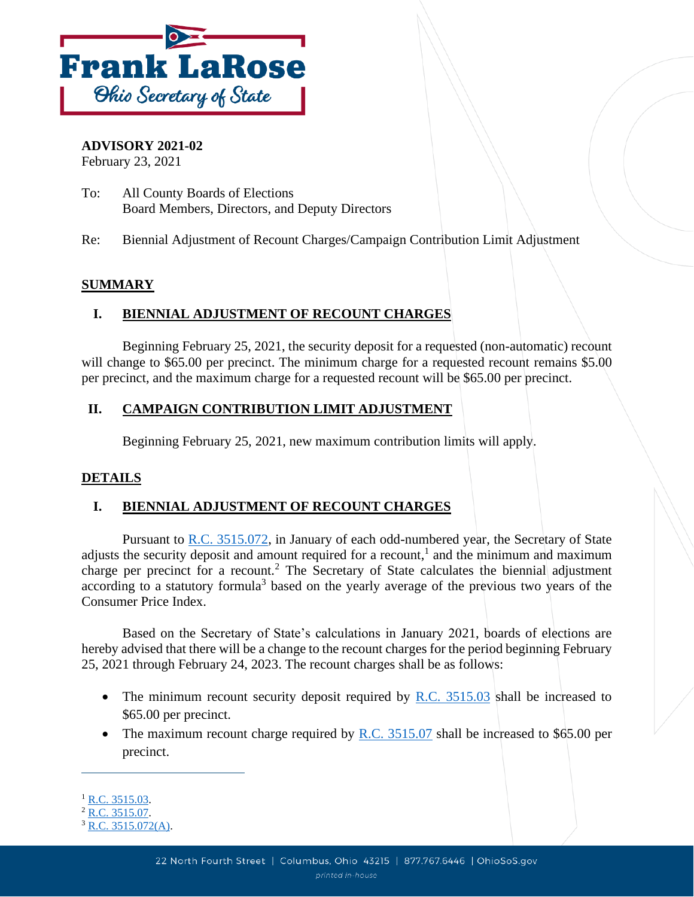

#### **ADVISORY 2021-02**

February 23, 2021

To: All County Boards of Elections Board Members, Directors, and Deputy Directors

Re: Biennial Adjustment of Recount Charges/Campaign Contribution Limit Adjustment

## **SUMMARY**

## **I. BIENNIAL ADJUSTMENT OF RECOUNT CHARGES**

Beginning February 25, 2021, the security deposit for a requested (non-automatic) recount will change to \$65.00 per precinct. The minimum charge for a requested recount remains \$5.00 per precinct, and the maximum charge for a requested recount will be \$65.00 per precinct.

## **II. CAMPAIGN CONTRIBUTION LIMIT ADJUSTMENT**

Beginning February 25, 2021, new maximum contribution limits will apply.

#### **DETAILS**

# **I. BIENNIAL ADJUSTMENT OF RECOUNT CHARGES**

Pursuant to [R.C. 3515.072,](http://codes.ohio.gov/orc/3515.072) in January of each odd-numbered year, the Secretary of State adjusts the security deposit and amount required for a recount,<sup>1</sup> and the minimum and maximum charge per precinct for a recount.<sup>2</sup> The Secretary of State calculates the biennial adjustment according to a statutory formula<sup>3</sup> based on the yearly average of the previous two years of the Consumer Price Index.

Based on the Secretary of State's calculations in January 2021, boards of elections are hereby advised that there will be a change to the recount charges for the period beginning February 25, 2021 through February 24, 2023. The recount charges shall be as follows:

- The minimum recount security deposit required by R.C.  $3515.03$  shall be increased to \$65.00 per precinct.
- The maximum recount charge required by  $R.C. 3515.07$  shall be increased to \$65.00 per precinct.

 $1$  [R.C. 3515.03.](http://codes.ohio.gov/orc/3515.03)

 $^{2}$  [R.C. 3515.07.](http://codes.ohio.gov/orc/3515.07)

 $3 \overline{R.C. 3515.072(A)}$ .